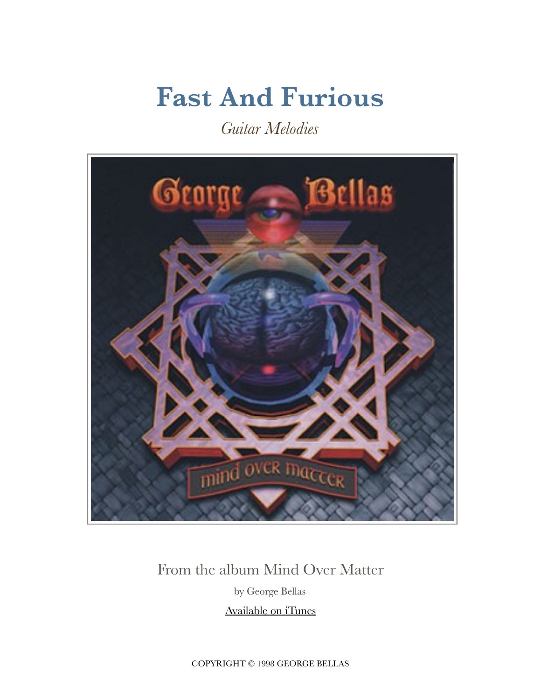## **Fast And Furious**

*Guitar Melodies*



#### From the album Mind Over Matter

by George Bellas

[Available on iTunes](https://itunes.apple.com/us/album/mind-over-matter/id1048268757)

COPYRIGHT © 1998 GEORGE BELLAS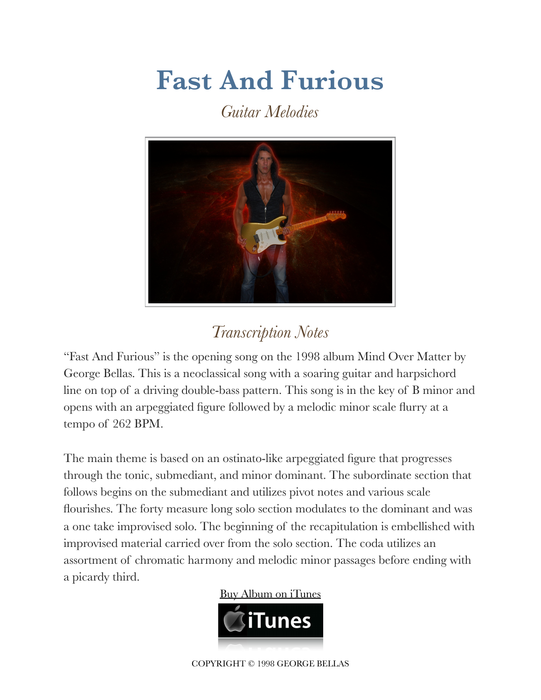# **Fast And Furious**

*Guitar Melodies* 



### *Transcription Notes*

"Fast And Furious" is the opening song on the 1998 album Mind Over Matter by George Bellas. This is a neoclassical song with a soaring guitar and harpsichord line on top of a driving double-bass pattern. This song is in the key of B minor and opens with an arpeggiated figure followed by a melodic minor scale flurry at a tempo of 262 BPM.

The main theme is based on an ostinato-like arpeggiated figure that progresses through the tonic, submediant, and minor dominant. The subordinate section that follows begins on the submediant and utilizes pivot notes and various scale flourishes. The forty measure long solo section modulates to the dominant and was a one take improvised solo. The beginning of the recapitulation is embellished with improvised material carried over from the solo section. The coda utilizes an assortment of chromatic harmony and melodic minor passages before ending with a picardy third.

[Buy Album on iTunes](https://itunes.apple.com/us/album/astral-projection/id646714673)



COPYRIGHT © 1998 GEORGE BELLAS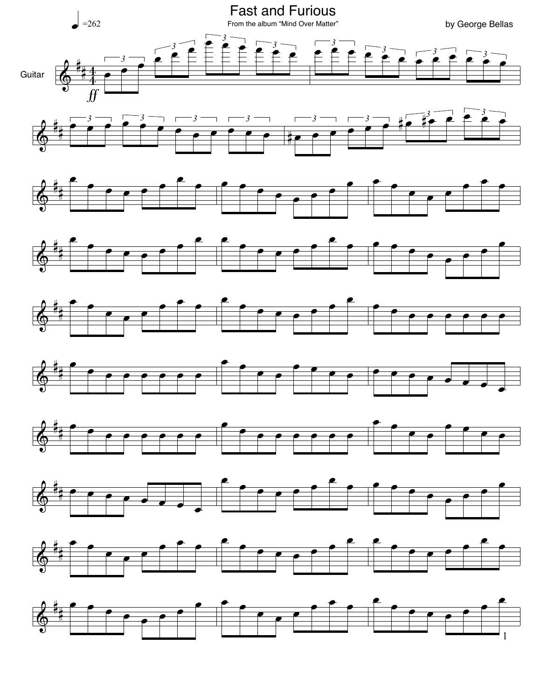

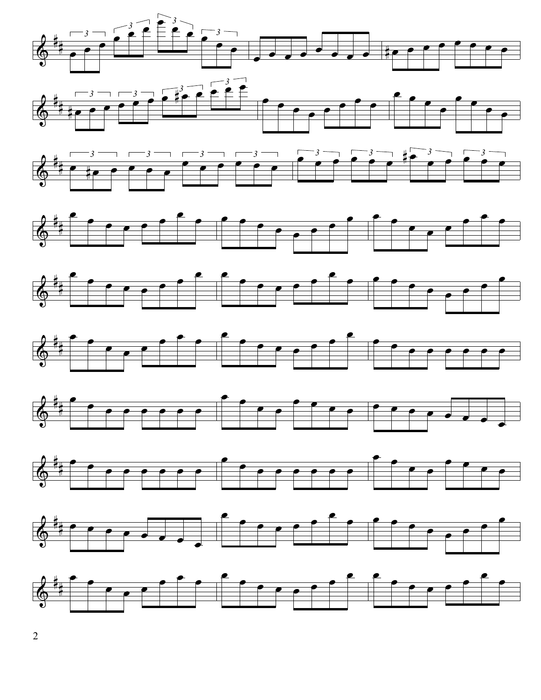

















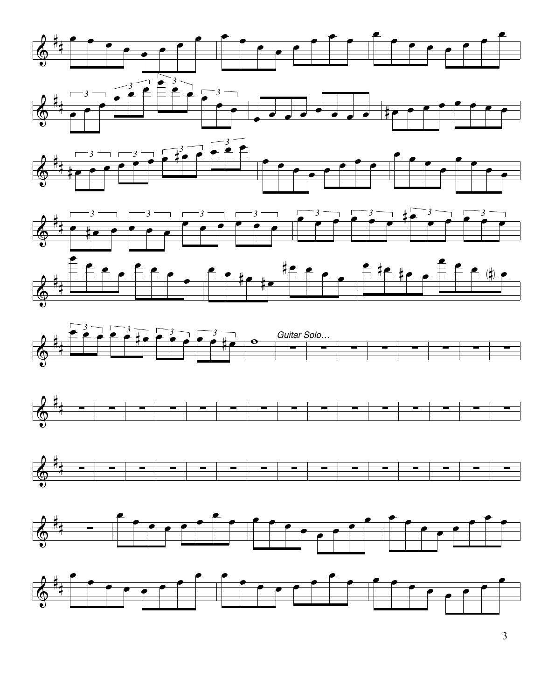









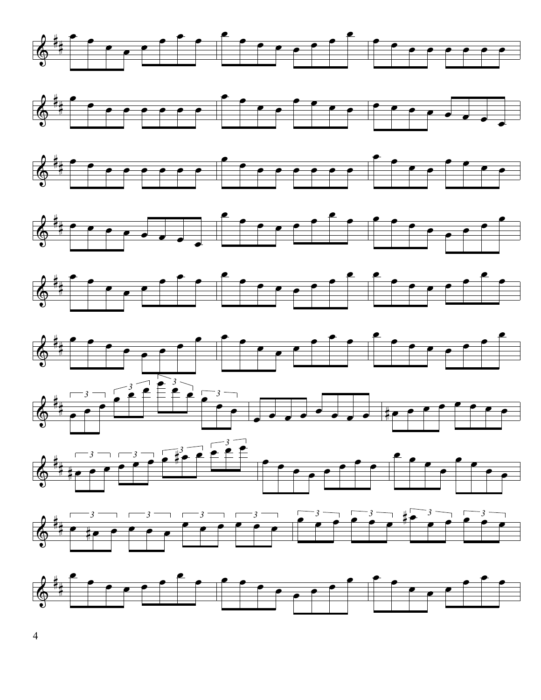















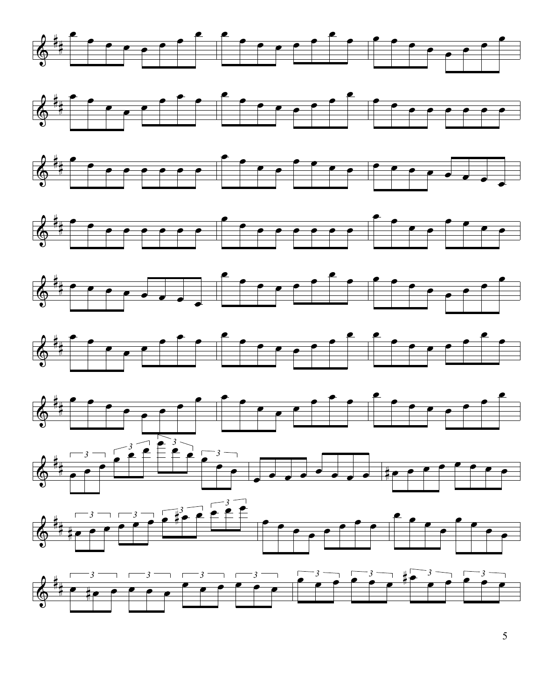















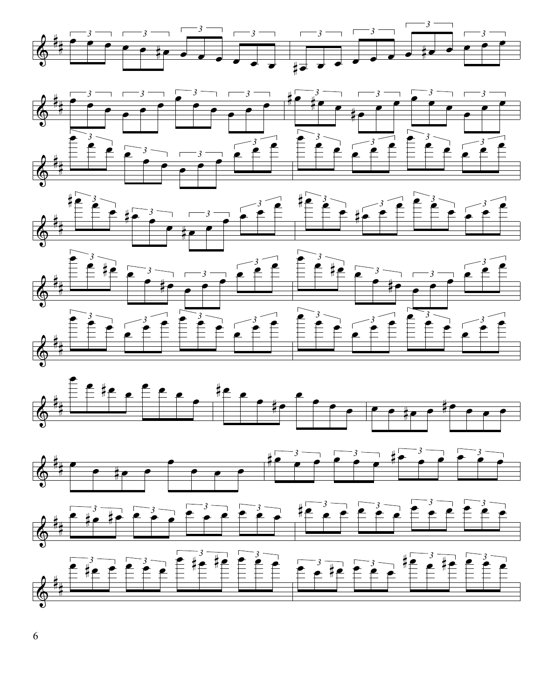







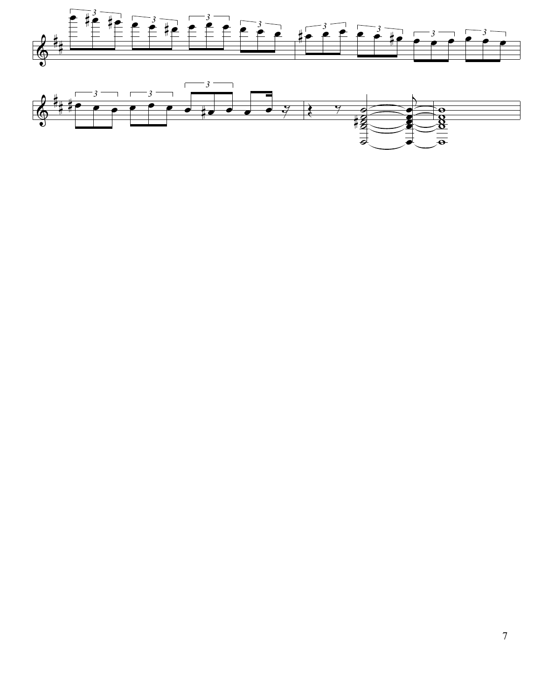